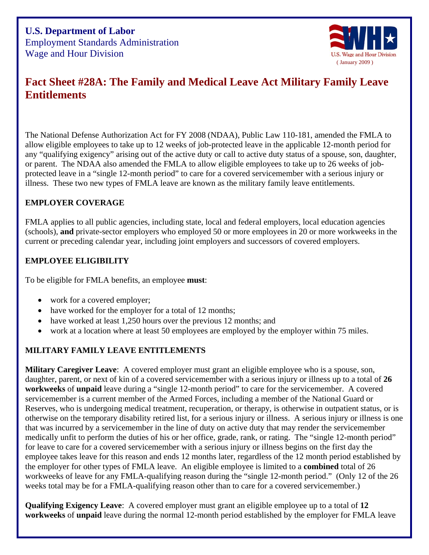

# **Fact Sheet #28A: The Family and Medical Leave Act Military Family Leave Entitlements**

The National Defense Authorization Act for FY 2008 (NDAA), Public Law 110-181, amended the FMLA to allow eligible employees to take up to 12 weeks of job-protected leave in the applicable 12-month period for any "qualifying exigency" arising out of the active duty or call to active duty status of a spouse, son, daughter, or parent. The NDAA also amended the FMLA to allow eligible employees to take up to 26 weeks of jobprotected leave in a "single 12-month period" to care for a covered servicemember with a serious in jury or illness. These two new types of FMLA leave are known as the military family leave entitlements.

## **MPLOYER COVERAGE E**

(schools), and private-sector employers who employed 50 or more employees in 20 or more workweeks in the current or preceding calendar year, including joint employers and successors of covered employers. FMLA applies to all public agencies, including state, local and federal employers, local education agencies

## **MPLOYEE ELIGIBILITY E**

To be eligible for FMLA benefits, an employee **must**:

- work for a covered employer;
- have worked for the employer for a total of 12 months;
- have worked at least 1,250 hours over the previous 12 months; and
- work at a location where at least 50 employees are employed by the employer within 75 miles.

# **ILITARY FAMILY LEAVE ENTITLEMENTS M**

daughter, parent, or next of kin of a covered servicemember with a serious injury or illness up to a total of 26 workweeks of unpaid leave during a "single 12-month period" to care for the servicemember. A covered otherwise on the temporary disability retired list, for a serious injury or illness. A serious injury or illness is one medically unfit to perform the duties of his or her office, grade, rank, or rating. The "single 12-month period" employee takes leave for this reason and ends 12 months later, regardless of the 12 month period established by workweeks of leave for any FMLA-qualifying reason during the "single 12-month period." (Only 12 of the 26 weeks total may be for a FMLA-qualifying reason other than to care for a covered servicemember.) **Military Caregiver Leave**: A covered employer must grant an eligible employee who is a spouse, son, servicemember is a current member of the Armed Forces, including a member of the National Guard or Reserves, who is undergoing medical treatment, recuperation, or therapy, is otherwise in outpatient status, or is that was incurred by a servicemember in the line of duty on active duty that may render the servicemember for leave to care for a covered servicemember with a serious injury or illness begins on the first day the the employer for other types of FMLA leave. An eligible employee is limited to a **combined** total of 26

**Qualifying Exigency Leave**: A covered employer must grant an eligible employee up to a total of **12 workweeks** of **unpaid** leave during the normal 12-month period established by the employer for FMLA leave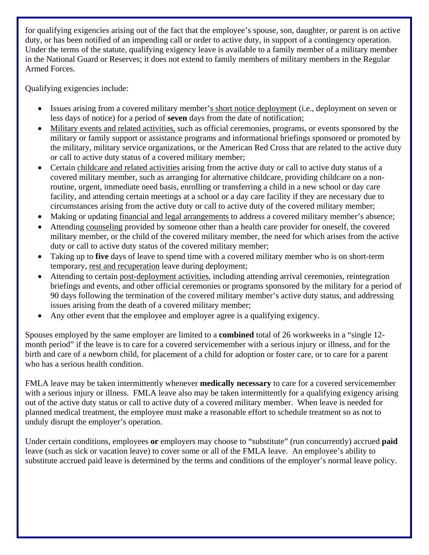for qualifying exigencies arising out of the fact that the employee's spouse, son, daughter, or parent is on activ e duty, or has been notified of an impending call or order to active duty, in support of a contingency operation. Under the terms of the statute, qualifying exigency leave is available to a family member of a military member in the National Gu ard or Reserves; it does not extend to family members of military members in the Regular Armed Forces.

Qualifying exigencies include:

- Issues arising from a covered military member's short notice deployment (i.e., deployment on seven or less days of notice) for a period of **seven** days from the date of notification;
- Military events and related activities, such as official ceremonies, programs, or events sponsored by the military or family support or assistance programs and informational briefings sponsored or promoted by the military, military service organizations, or the American Red Cross that are related to the active duty or call to active duty status of a covered military member;
- Certain childcare and related activities arising from the active duty or call to active duty status of a covered military member, such as arranging for alternative childcare, providing childcare on a nonroutine, urgent, immediate need basis, enrolling or transferring a child in a new school or day care facility, and attending certain meetings at a school or a day care facility if they are necessary due to circumstances arising from the active duty or call to active duty of the covered military member;
- Making or updating financial and legal arrangements to address a covered military member's absence;
- Attending counseling provided by someone other than a health care provider for oneself, the covered military member, or the child of the covered military member, the need for which arises from the active duty or call to active duty status of the covered military member;
- Taking up to five days of leave to spend time with a covered military member who is on short-term temporary, rest and recuperation leave during deployment;
- Attending to certain post-deployment activities, including attending arrival ceremonies, reintegration briefings and events, and other official ceremonies or programs sponsored by the military for a period o f 90 days following the termination of the covered military member's ac tive duty status, and addressing issues arising from the death of a covered military member;
- Any other event that the employee and employer agree is a qualifying exigency.

birth and care of a newborn child, for placement of a child for adoption or foster care, or to care for a parent who has a serious health condition. Spouses employed by the same employer are limited to a **combined** total of 26 workweeks in a "single 12 month period" if the leave is to care for a covered servicemember with a serious injury or illness, and for the

with a serious injury or illness. FMLA leave also may be taken intermittently for a qualifying exigency arising planned medical treatment, the employee must make a reasonable effort to schedule treatment so as not to unduly disrupt the employer's operation. FMLA leave may be taken intermittently whenever **medically necessary** to care for a covered servicemember out of the active duty status or call to active duty of a covered military member. When leave is needed for

Under certain conditions, employees or employers may choose to "substitute" (run concurrently) accrued paid substitute accrued paid leave is determined by the terms and conditions of the employer's normal leave policy. leave (such as sick or vacation leave) to cover some or all of the FMLA leave. An employee's ability to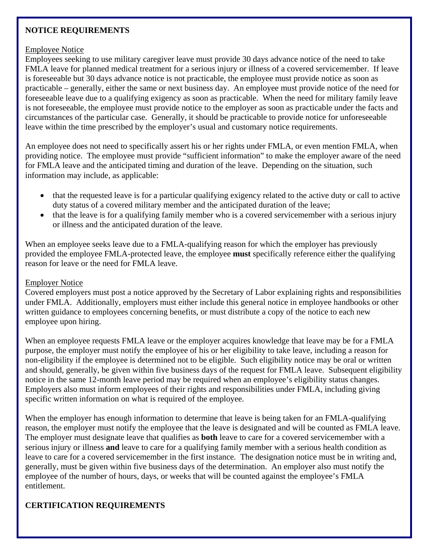#### **NOTICE REQUIREMENTS**

#### Employee Notice

Employees seeking to use military caregiver leave must provide 30 days advance notice of the need to take FMLA leave for planned medical treatment for a serious injury or illness of a covered servicemember. If leave is foreseeable but 30 days advance notice is not practicable, the employee must provide notice as soon as practicable – generally, either the same or next business day. An employee must provide notice of the need for foreseeable leave due to a qualifying exigency as soon as practicable. When the need for military family leave is not foreseeable, the employee must provide notice to the employer as soon as practicable under the facts an d circumstances of the particular case. Generally, it should be practicable to provide notice for u nforeseeable leave within the time prescribed by the employer's usual and customary notice requirements.

providing notice. The employee must provide "sufficient information" to make the employer aware of the need for FMLA leave and the anticipated timing and duration of the leave. Depending on the situation, such information may include, as applicable: An employee does not need to specifically assert his or her rights under FMLA, or even mention FMLA, when

- that the requested leave is for a particular qualifying exigency related to the active duty or call to active duty status of a covered military member and the anticipated duration of the leave;
- that the leave is for a qualifying family member who is a covered servicemember with a serious injury or illness and the anticipated duration of the leave.

provided the employee FMLA-protected leave, the employee must specifically reference either the qualifying reason for leave or the need for FMLA leave. When an employee seeks leave due to a FMLA-qualifying reason for which the employer has previously

#### Employer Notice

Covered employers must post a notice approved by the Secretary of Labor explaining rights and responsibilities under FMLA. Additionally, employers must either include this general notice in employee handbooks o r other written guidance to empl oyees concerning benefits, or must distribute a copy of the notice to each new employee upon hiring.

and should, generally, be given within five business days of the request for FMLA leave. Subsequent eligibility Employers also must inform employees of their rights and responsibilities under FMLA, including giving specific written information on what is required of the employee. When an employee requests FMLA leave or the employer acquires knowledge that leave may be for a FMLA purpose, the employer must notify the employee of his or her eligibility to take leave, including a reason for non-eligibility if the employee is determined not to be eligible. Such eligibility notice may be oral or written notice in the same 12-month leave period may be required when an employee's eligibility status changes.

reason, the employer must notify the employee that the leave is designated and will be counted as FMLA leave. leave to care for a covered servicemember in the first instance. The designation notice must be in writing and, generally, must be given within five business days of the determination. An employer also must notify the employee of the number of hours, days, or weeks that will be counted against the employee's FMLA entitlement. When the employer has enough information to determine that leave is being taken for an FMLA-qualifying The employer must designate leave that qualifies as **both** leave to care for a covered servicemember with a serious injury or illness **and** leave to care for a qualifying family member with a serious health condition as

# **ERTIFICATION REQUIREMENTS C**